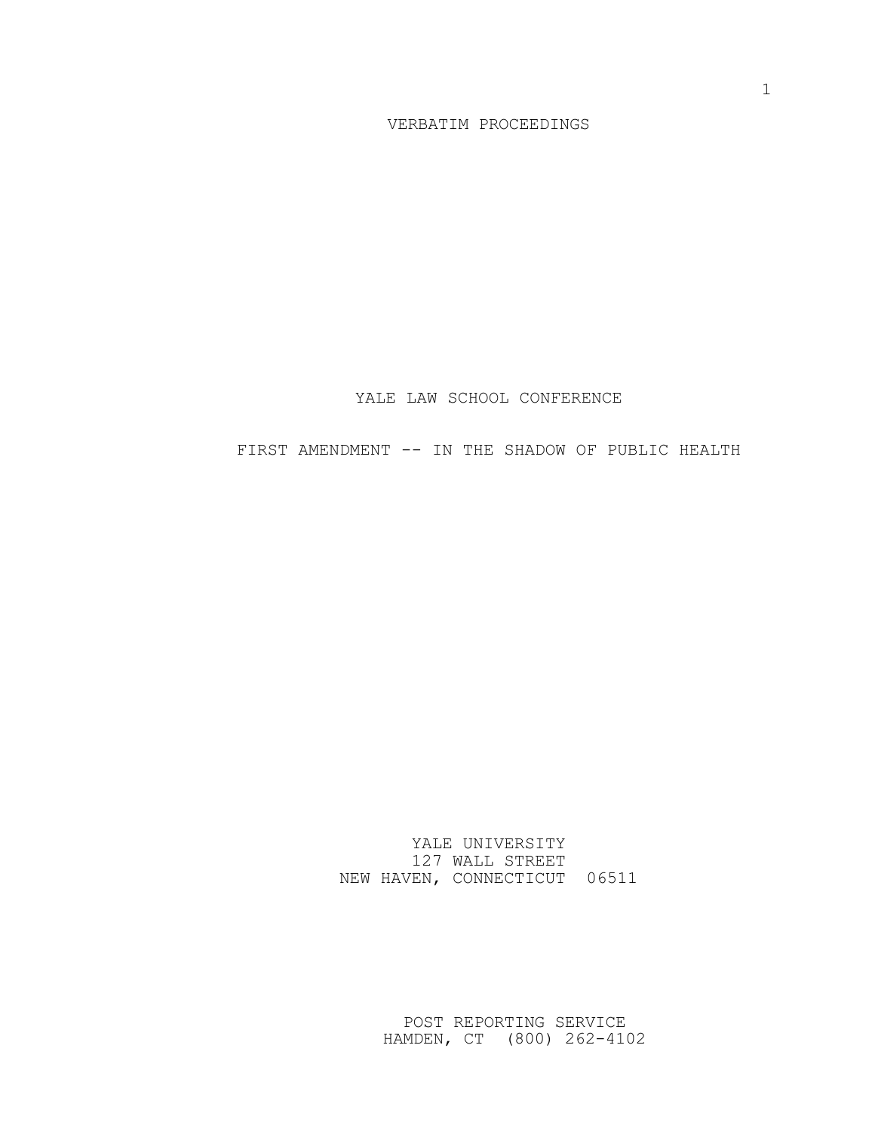### POST REPORTING SERVICE HAMDEN, CT (800) 262-4102

YALE UNIVERSITY 127 WALL STREET NEW HAVEN, CONNECTICUT 06511

FIRST AMENDMENT -- IN THE SHADOW OF PUBLIC HEALTH

YALE LAW SCHOOL CONFERENCE

VERBATIM PROCEEDINGS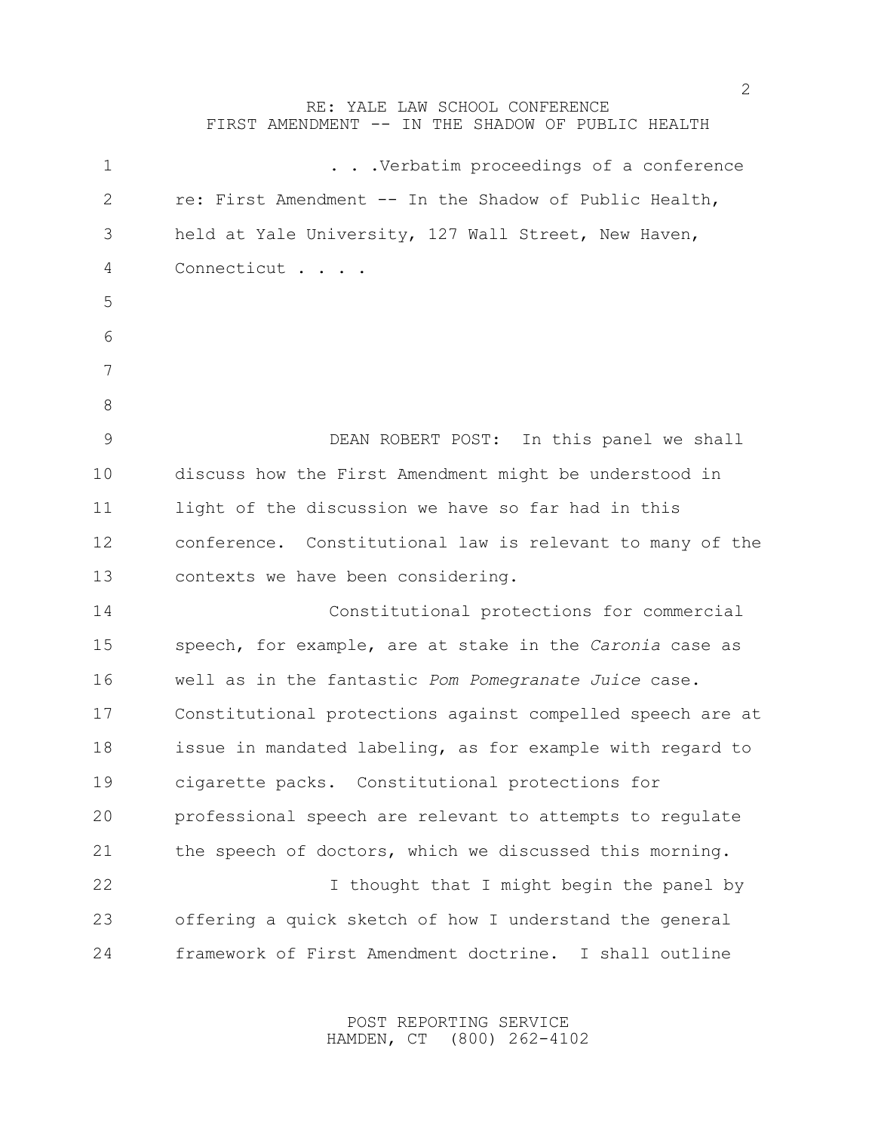### RE: YALE LAW SCHOOL CONFERENCE

FIRST AMENDMENT -- IN THE SHADOW OF PUBLIC HEALTH

| 1             | . Verbatim proceedings of a conference                     |
|---------------|------------------------------------------------------------|
| $\mathbf{2}$  | re: First Amendment -- In the Shadow of Public Health,     |
| 3             | held at Yale University, 127 Wall Street, New Haven,       |
| 4             | Connecticut                                                |
| 5             |                                                            |
| 6             |                                                            |
| 7             |                                                            |
| $8\,$         |                                                            |
| $\mathcal{G}$ | DEAN ROBERT POST: In this panel we shall                   |
| 10            | discuss how the First Amendment might be understood in     |
| 11            | light of the discussion we have so far had in this         |
| 12            | conference. Constitutional law is relevant to many of the  |
| 13            | contexts we have been considering.                         |
| 14            | Constitutional protections for commercial                  |
| 15            | speech, for example, are at stake in the Caronia case as   |
| 16            | well as in the fantastic Pom Pomegranate Juice case.       |
| 17            | Constitutional protections against compelled speech are at |
| 18            | issue in mandated labeling, as for example with regard to  |
| 19            | cigarette packs. Constitutional protections for            |
| 20            | professional speech are relevant to attempts to regulate   |
| 21            | the speech of doctors, which we discussed this morning.    |
| 22            | I thought that I might begin the panel by                  |
| 23            | offering a quick sketch of how I understand the general    |
| 24            | framework of First Amendment doctrine.<br>I shall outline  |

POST REPORTING SERVICE HAMDEN, CT (800) 262-4102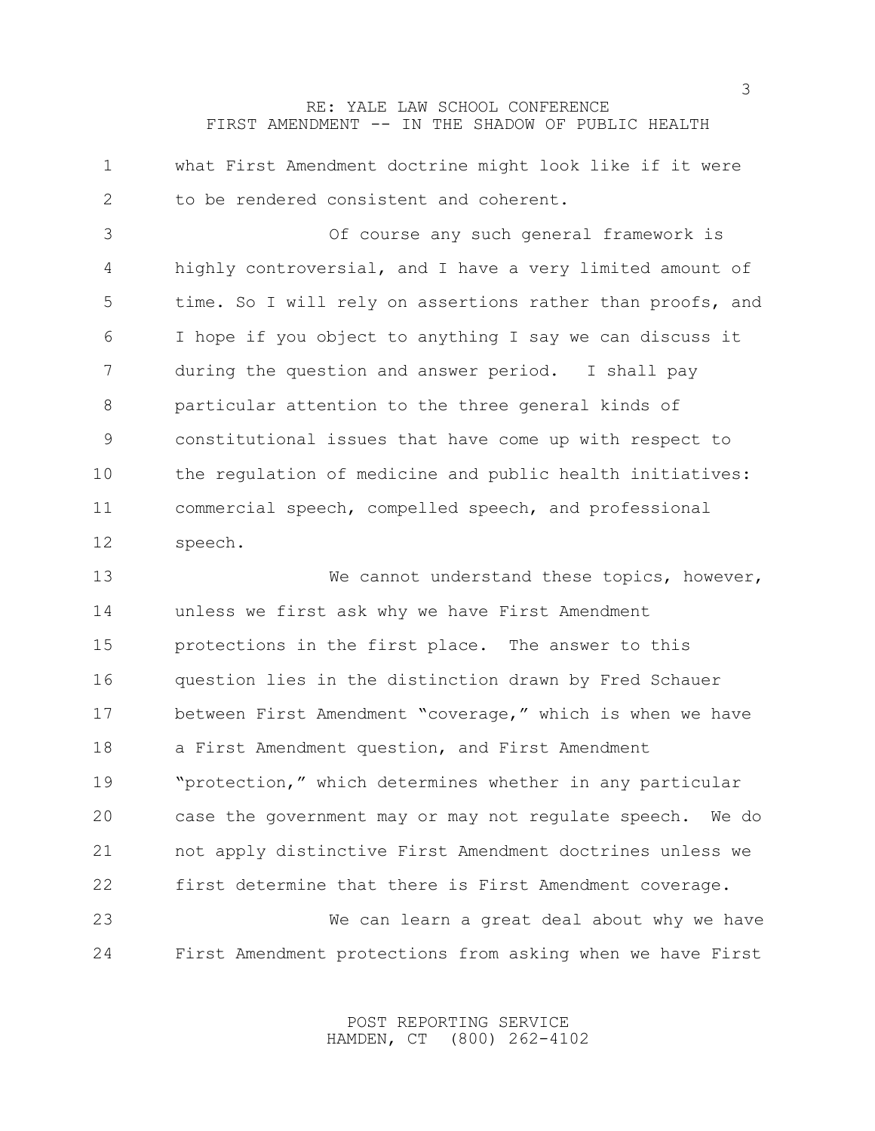what First Amendment doctrine might look like if it were to be rendered consistent and coherent. Of course any such general framework is highly controversial, and I have a very limited amount of time. So I will rely on assertions rather than proofs, and I hope if you object to anything I say we can discuss it during the question and answer period. I shall pay particular attention to the three general kinds of constitutional issues that have come up with respect to the regulation of medicine and public health initiatives: commercial speech, compelled speech, and professional speech. We cannot understand these topics, however, unless we first ask why we have First Amendment protections in the first place. The answer to this question lies in the distinction drawn by Fred Schauer

 between First Amendment "coverage," which is when we have a First Amendment question, and First Amendment "protection," which determines whether in any particular case the government may or may not regulate speech. We do not apply distinctive First Amendment doctrines unless we first determine that there is First Amendment coverage. We can learn a great deal about why we have

First Amendment protections from asking when we have First

POST REPORTING SERVICE HAMDEN, CT (800) 262-4102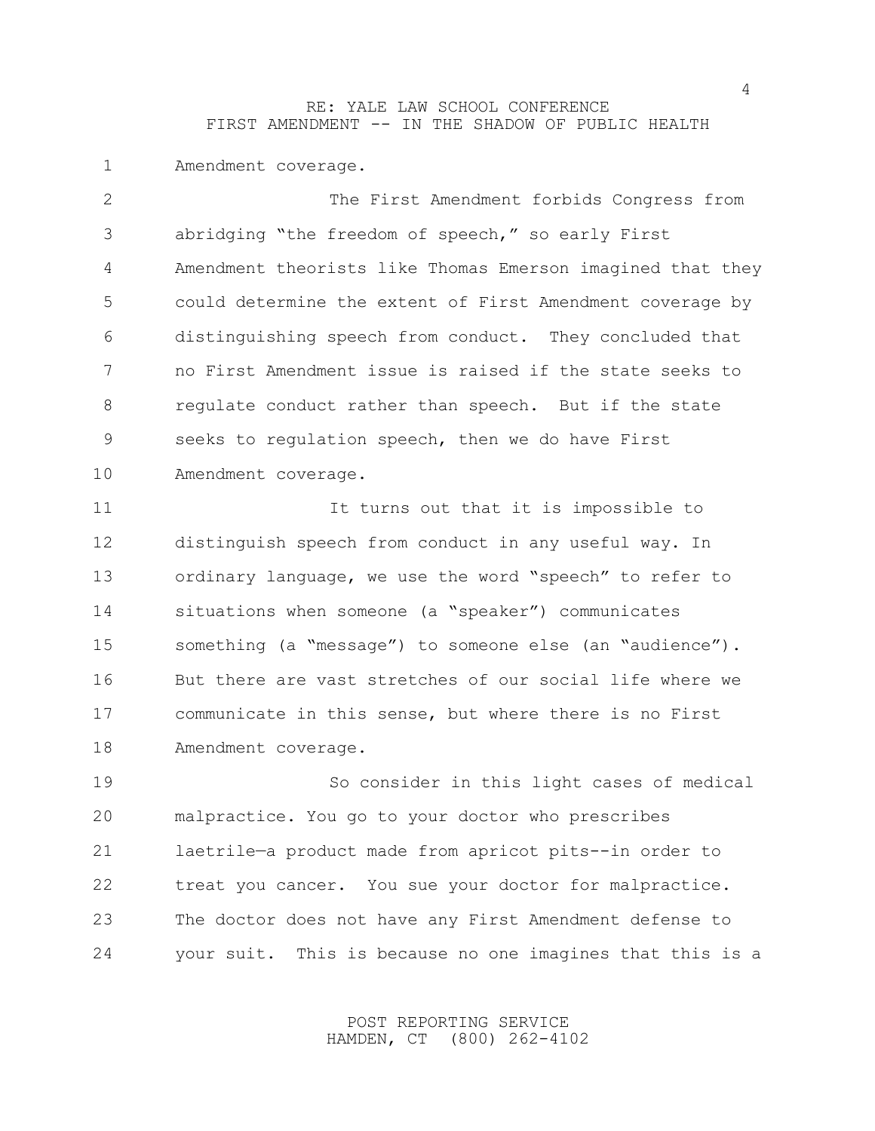Amendment coverage.

| The First Amendment forbids Congress from                  |
|------------------------------------------------------------|
| abridging "the freedom of speech," so early First          |
| Amendment theorists like Thomas Emerson imagined that they |
| could determine the extent of First Amendment coverage by  |
| distinguishing speech from conduct. They concluded that    |
| no First Amendment issue is raised if the state seeks to   |
| requlate conduct rather than speech. But if the state      |
| seeks to regulation speech, then we do have First          |
| Amendment coverage.                                        |
| It turns out that it is impossible to                      |
| distinguish speech from conduct in any useful way. In      |
| ordinary language, we use the word "speech" to refer to    |
| situations when someone (a "speaker") communicates         |
| something (a "message") to someone else (an "audience").   |
| But there are vast stretches of our social life where we   |
| communicate in this sense, but where there is no First     |
| Amendment coverage.                                        |
| So consider in this light cases of medical                 |
| malpractice. You go to your doctor who prescribes          |
| laetrile-a product made from apricot pits--in order to     |
| treat you cancer. You sue your doctor for malpractice.     |
| The doctor does not have any First Amendment defense to    |
|                                                            |

POST REPORTING SERVICE HAMDEN, CT (800) 262-4102

your suit. This is because no one imagines that this is a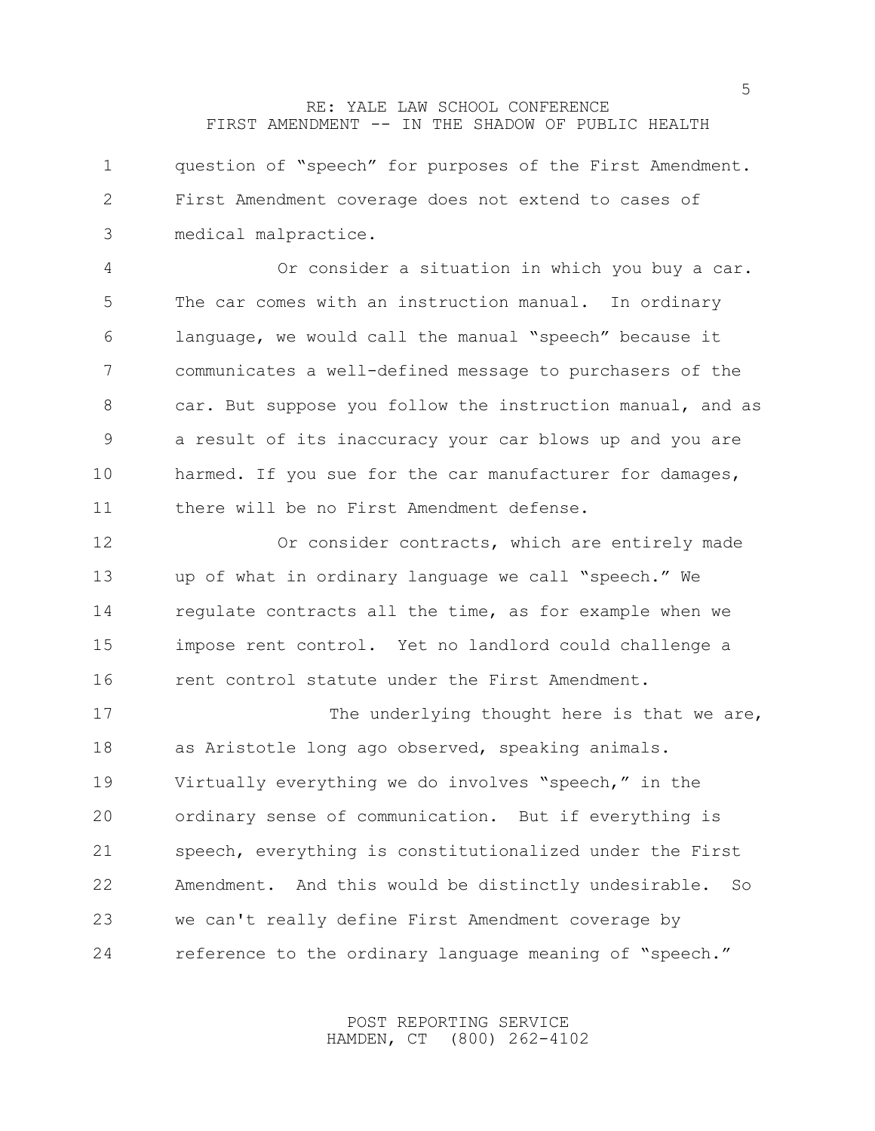| $\mathbf 1$     | question of "speech" for purposes of the First Amendment.  |
|-----------------|------------------------------------------------------------|
| $\mathbf{2}$    | First Amendment coverage does not extend to cases of       |
| 3               | medical malpractice.                                       |
| 4               | Or consider a situation in which you buy a car.            |
| 5               | The car comes with an instruction manual. In ordinary      |
| 6               | language, we would call the manual "speech" because it     |
| $7\phantom{.0}$ | communicates a well-defined message to purchasers of the   |
| 8               | car. But suppose you follow the instruction manual, and as |
| 9               | a result of its inaccuracy your car blows up and you are   |
| 10              | harmed. If you sue for the car manufacturer for damages,   |
| 11              | there will be no First Amendment defense.                  |
| 12              | Or consider contracts, which are entirely made             |
| 13              | up of what in ordinary language we call "speech." We       |
| 14              | regulate contracts all the time, as for example when we    |
| 15              | impose rent control. Yet no landlord could challenge a     |
| 16              | rent control statute under the First Amendment.            |
| 17              | The underlying thought here is that we are,                |
| 18              | as Aristotle long ago observed, speaking animals.          |
| 19              | Virtually everything we do involves "speech," in the       |
| 20              | ordinary sense of communication. But if everything is      |
| 21              | speech, everything is constitutionalized under the First   |
| 22              | Amendment. And this would be distinctly undesirable.<br>So |
| 23              | we can't really define First Amendment coverage by         |
| 24              | reference to the ordinary language meaning of "speech."    |

POST REPORTING SERVICE HAMDEN, CT (800) 262-4102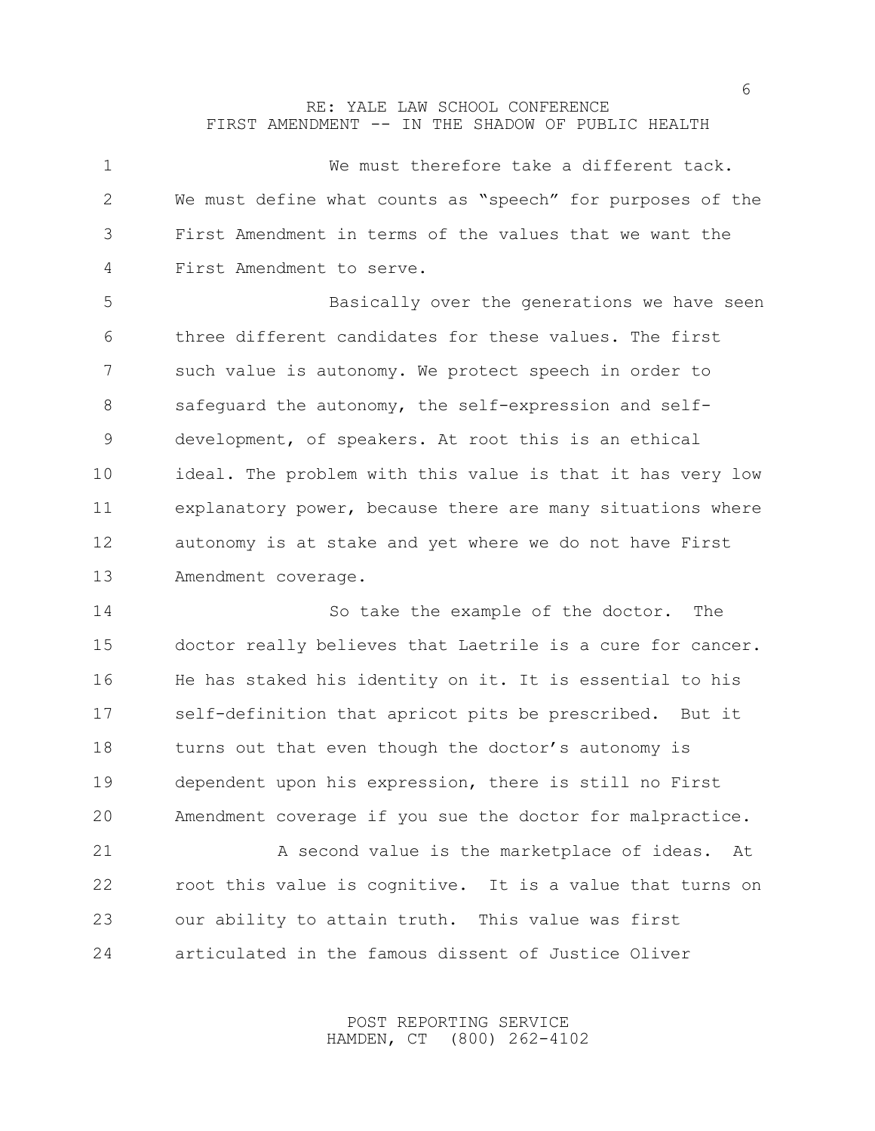| $\mathbf 1$ | We must therefore take a different tack.                   |
|-------------|------------------------------------------------------------|
| 2           | We must define what counts as "speech" for purposes of the |
| 3           | First Amendment in terms of the values that we want the    |
| 4           | First Amendment to serve.                                  |
| 5           | Basically over the generations we have seen                |
| 6           | three different candidates for these values. The first     |
| 7           | such value is autonomy. We protect speech in order to      |
| 8           | safequard the autonomy, the self-expression and self-      |
| 9           | development, of speakers. At root this is an ethical       |
| 10          | ideal. The problem with this value is that it has very low |
| 11          | explanatory power, because there are many situations where |
| 12          | autonomy is at stake and yet where we do not have First    |
| 13          | Amendment coverage.                                        |
| 14          | So take the example of the doctor.<br>The                  |
| 15          | doctor really believes that Laetrile is a cure for cancer. |
| 16          | He has staked his identity on it. It is essential to his   |
| 17          | self-definition that apricot pits be prescribed. But it    |
| 18          | turns out that even though the doctor's autonomy is        |
| 19          | dependent upon his expression, there is still no First     |
| 20          | Amendment coverage if you sue the doctor for malpractice.  |
| 21          | A second value is the marketplace of ideas.<br>At          |
| 22          | root this value is cognitive. It is a value that turns on  |
| 23          |                                                            |
|             | our ability to attain truth. This value was first          |

POST REPORTING SERVICE HAMDEN, CT (800) 262-4102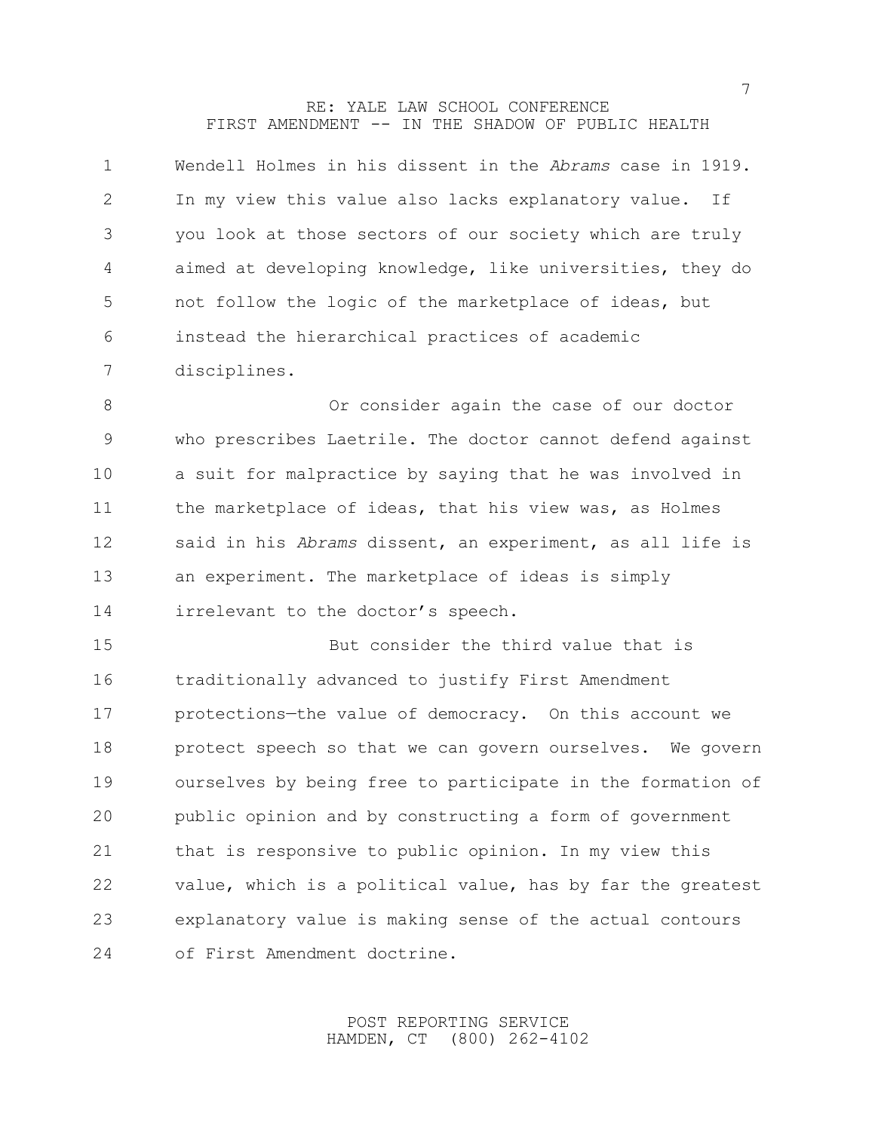| 1              | Wendell Holmes in his dissent in the Abrams case in 1919. |
|----------------|-----------------------------------------------------------|
| 2              | In my view this value also lacks explanatory value. If    |
| 3              | you look at those sectors of our society which are truly  |
| $\overline{4}$ | aimed at developing knowledge, like universities, they do |
| -5             | not follow the logic of the marketplace of ideas, but     |
| 6              | instead the hierarchical practices of academic            |
|                | disciplines.                                              |

 Or consider again the case of our doctor who prescribes Laetrile. The doctor cannot defend against a suit for malpractice by saying that he was involved in the marketplace of ideas, that his view was, as Holmes said in his *Abrams* dissent, an experiment, as all life is an experiment. The marketplace of ideas is simply 14 irrelevant to the doctor's speech.

 But consider the third value that is traditionally advanced to justify First Amendment protections—the value of democracy. On this account we 18 protect speech so that we can govern ourselves. We govern ourselves by being free to participate in the formation of public opinion and by constructing a form of government that is responsive to public opinion. In my view this value, which is a political value, has by far the greatest explanatory value is making sense of the actual contours of First Amendment doctrine.

> POST REPORTING SERVICE HAMDEN, CT (800) 262-4102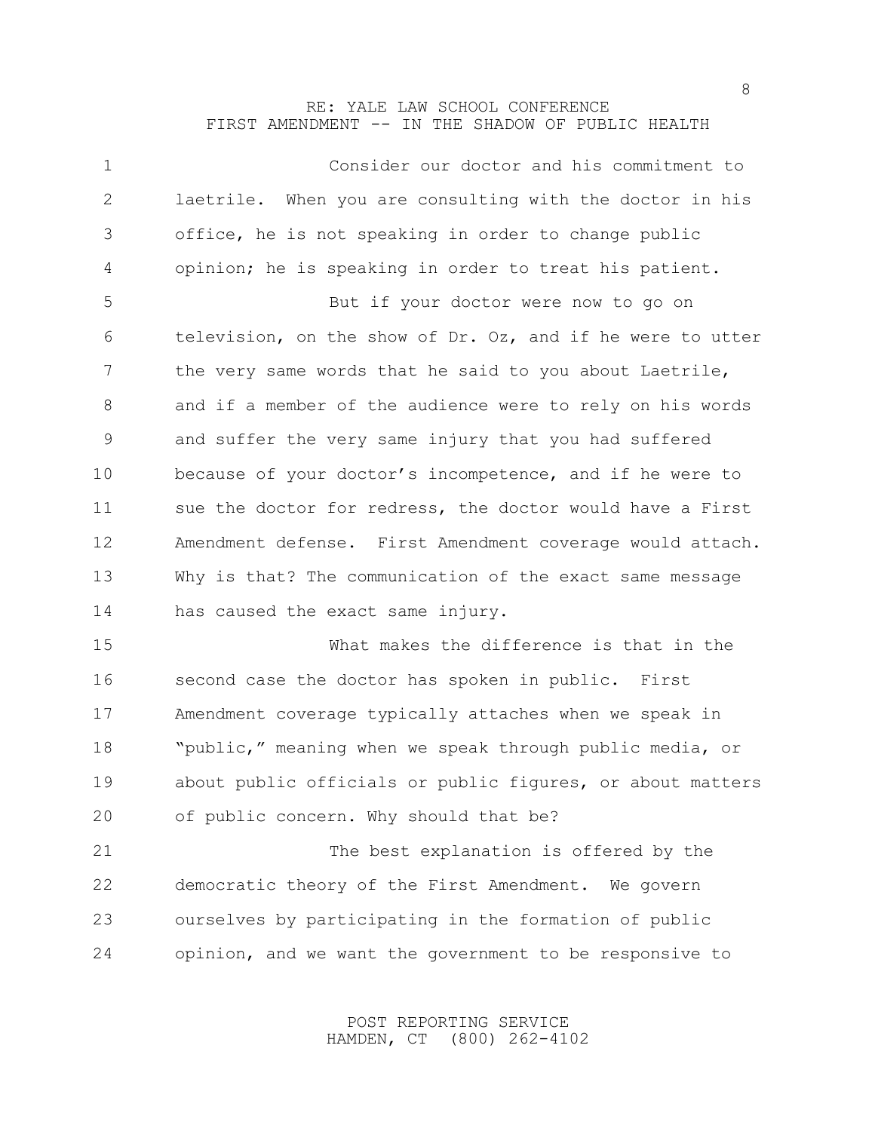| $\mathbf 1$     | Consider our doctor and his commitment to                  |
|-----------------|------------------------------------------------------------|
| $\mathbf{2}$    | laetrile. When you are consulting with the doctor in his   |
| 3               | office, he is not speaking in order to change public       |
| 4               | opinion; he is speaking in order to treat his patient.     |
| 5               | But if your doctor were now to go on                       |
| 6               | television, on the show of Dr. Oz, and if he were to utter |
| $7\phantom{.0}$ | the very same words that he said to you about Laetrile,    |
| 8               | and if a member of the audience were to rely on his words  |
| 9               | and suffer the very same injury that you had suffered      |
| 10              | because of your doctor's incompetence, and if he were to   |
| 11              | sue the doctor for redress, the doctor would have a First  |
| 12              | Amendment defense. First Amendment coverage would attach.  |
| 13              | Why is that? The communication of the exact same message   |
| 14              | has caused the exact same injury.                          |
| 15              | What makes the difference is that in the                   |
| 16              | second case the doctor has spoken in public. First         |
| 17              | Amendment coverage typically attaches when we speak in     |
| 18              | "public," meaning when we speak through public media, or   |
| 19              | about public officials or public figures, or about matters |
| 20              | of public concern. Why should that be?                     |
| 21              | The best explanation is offered by the                     |
| 22              | democratic theory of the First Amendment. We govern        |
| 23              | ourselves by participating in the formation of public      |
| 24              | opinion, and we want the government to be responsive to    |

POST REPORTING SERVICE HAMDEN, CT (800) 262-4102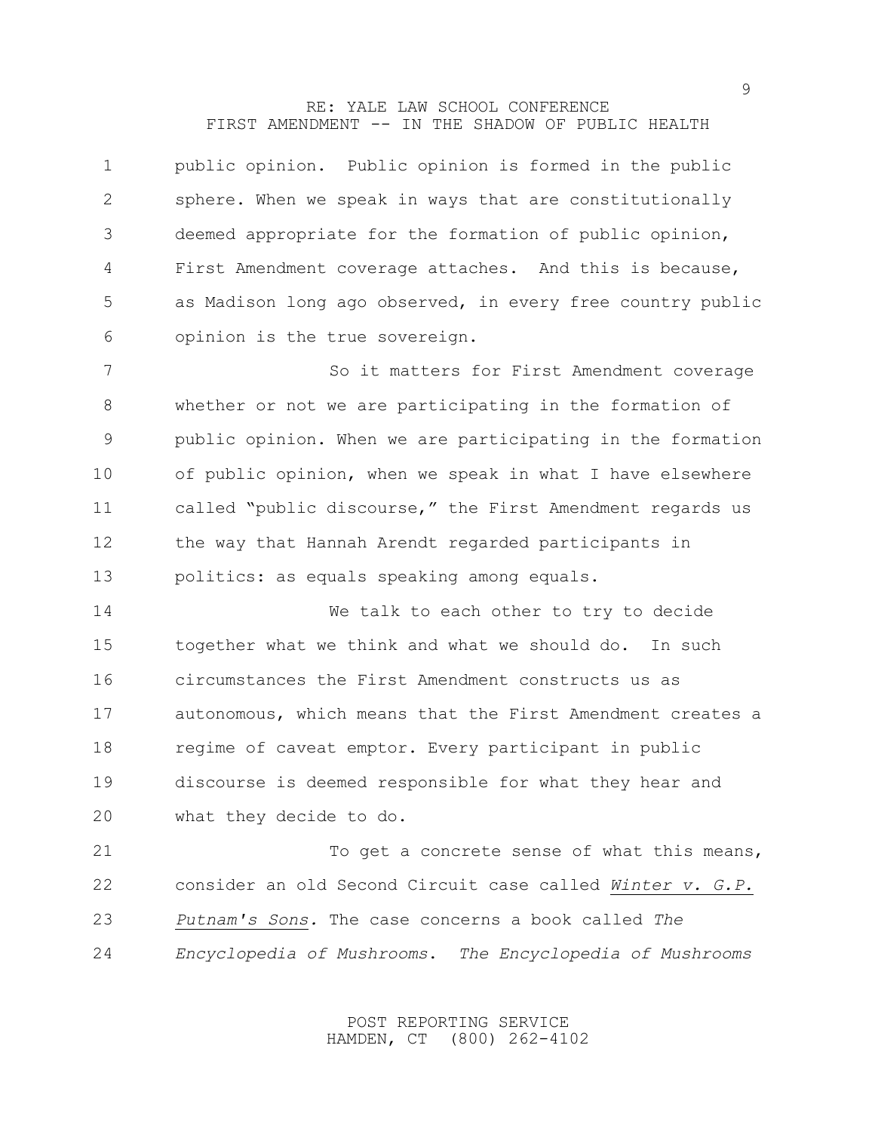| 1              | public opinion. Public opinion is formed in the public     |
|----------------|------------------------------------------------------------|
| 2              | sphere. When we speak in ways that are constitutionally    |
| 3              | deemed appropriate for the formation of public opinion,    |
| $\overline{4}$ | First Amendment coverage attaches. And this is because,    |
| 5              | as Madison long ago observed, in every free country public |
| 6              | opinion is the true sovereign.                             |

 So it matters for First Amendment coverage whether or not we are participating in the formation of public opinion. When we are participating in the formation of public opinion, when we speak in what I have elsewhere called "public discourse," the First Amendment regards us the way that Hannah Arendt regarded participants in politics: as equals speaking among equals.

 We talk to each other to try to decide together what we think and what we should do. In such circumstances the First Amendment constructs us as autonomous, which means that the First Amendment creates a 18 regime of caveat emptor. Every participant in public discourse is deemed responsible for what they hear and what they decide to do.

21 To get a concrete sense of what this means, consider an old Second Circuit case called *Winter v. G.P. Putnam's Sons.* The case concerns a book called *The Encyclopedia of Mushrooms*. *The Encyclopedia of Mushrooms*

> POST REPORTING SERVICE HAMDEN, CT (800) 262-4102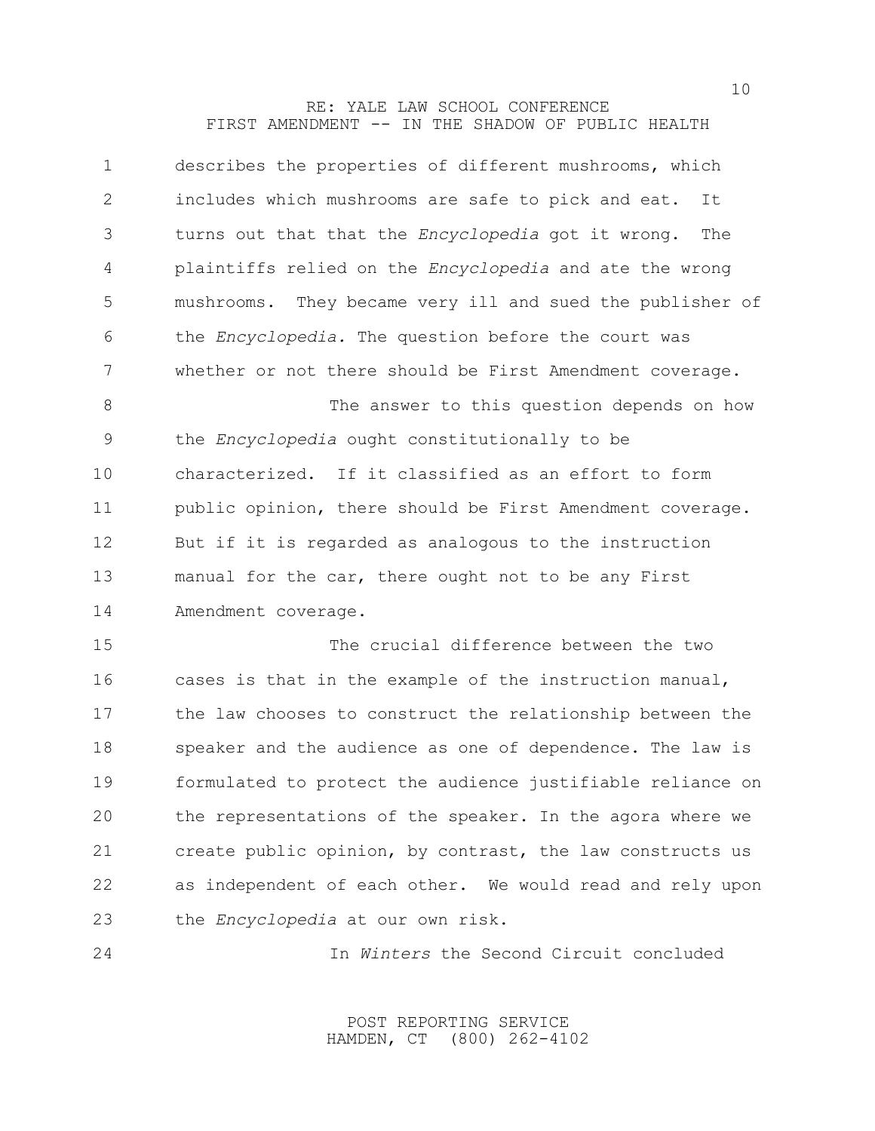| describes the properties of different mushrooms, which         |
|----------------------------------------------------------------|
| includes which mushrooms are safe to pick and eat.<br>It       |
| turns out that that the Encyclopedia got it wrong.<br>The      |
| plaintiffs relied on the <i>Encyclopedia</i> and ate the wrong |
| mushrooms. They became very ill and sued the publisher of      |
| the Encyclopedia. The question before the court was            |
| whether or not there should be First Amendment coverage.       |
| The answer to this question depends on how                     |
| the Encyclopedia ought constitutionally to be                  |
| characterized. If it classified as an effort to form           |
| public opinion, there should be First Amendment coverage.      |
| But if it is regarded as analogous to the instruction          |
| manual for the car, there ought not to be any First            |
| Amendment coverage.                                            |
| The crucial difference between the two                         |
| cases is that in the example of the instruction manual,        |
| the law chooses to construct the relationship between the      |
| speaker and the audience as one of dependence. The law is      |
| formulated to protect the audience justifiable reliance on     |
| the representations of the speaker. In the agora where we      |
| create public opinion, by contrast, the law constructs us      |
| as independent of each other. We would read and rely upon      |
| the <i>Encyclopedia</i> at our own risk.                       |
|                                                                |

In *Winters* the Second Circuit concluded

POST REPORTING SERVICE HAMDEN, CT (800) 262-4102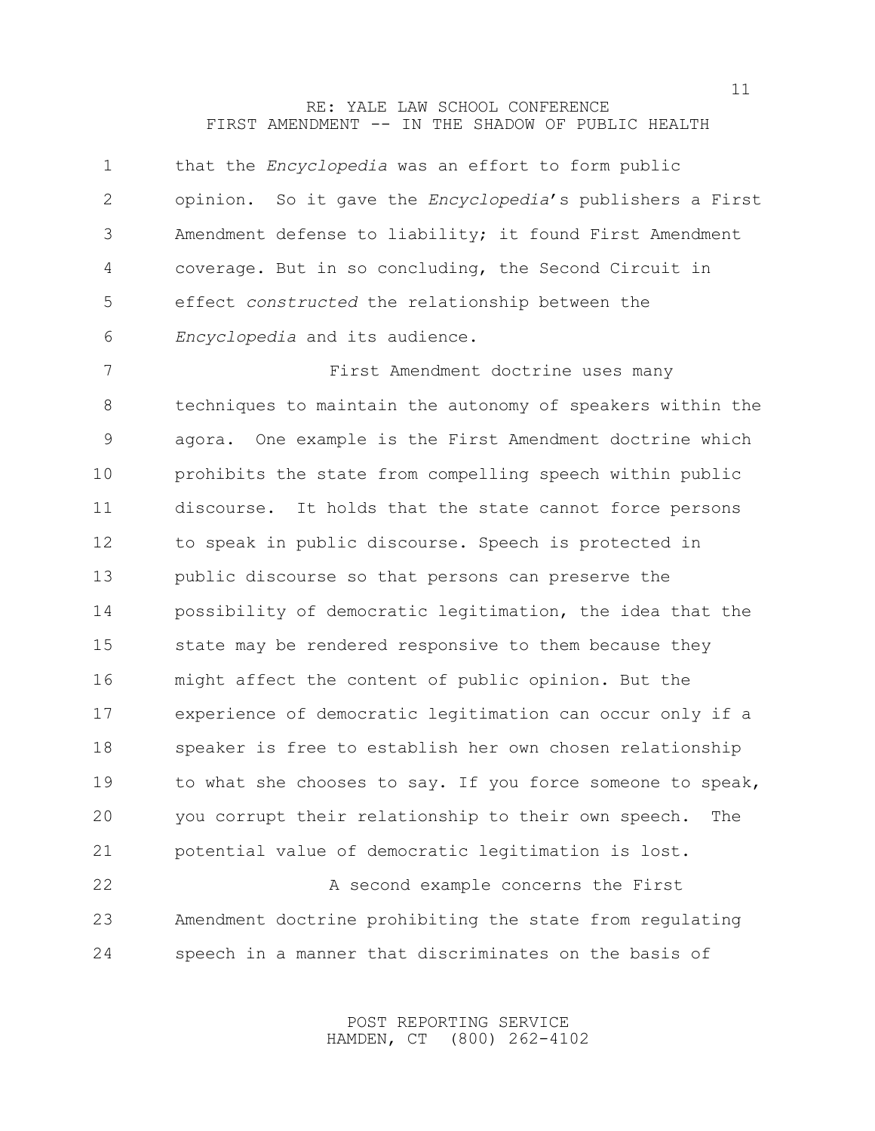| $\mathbf 1$ | that the Encyclopedia was an effort to form public               |
|-------------|------------------------------------------------------------------|
| 2           | opinion. So it gave the <i>Encyclopedia's</i> publishers a First |
| 3           | Amendment defense to liability; it found First Amendment         |
| 4           | coverage. But in so concluding, the Second Circuit in            |
| 5           | effect constructed the relationship between the                  |
| 6           | Encyclopedia and its audience.                                   |
| 7           | First Amendment doctrine uses many                               |
| 8           | techniques to maintain the autonomy of speakers within the       |
| 9           | agora. One example is the First Amendment doctrine which         |
| 10          | prohibits the state from compelling speech within public         |
| 11          | discourse. It holds that the state cannot force persons          |
| 12          | to speak in public discourse. Speech is protected in             |
| 13          | public discourse so that persons can preserve the                |
| 14          | possibility of democratic legitimation, the idea that the        |
| 15          | state may be rendered responsive to them because they            |
| 16          | might affect the content of public opinion. But the              |
| 17          | experience of democratic legitimation can occur only if a        |
| 18          | speaker is free to establish her own chosen relationship         |
| 19          | to what she chooses to say. If you force someone to speak,       |
| 20          | you corrupt their relationship to their own speech.<br>The       |
| 21          | potential value of democratic legitimation is lost.              |
| 22          | A second example concerns the First                              |
| 23          | Amendment doctrine prohibiting the state from regulating         |

speech in a manner that discriminates on the basis of

POST REPORTING SERVICE HAMDEN, CT (800) 262-4102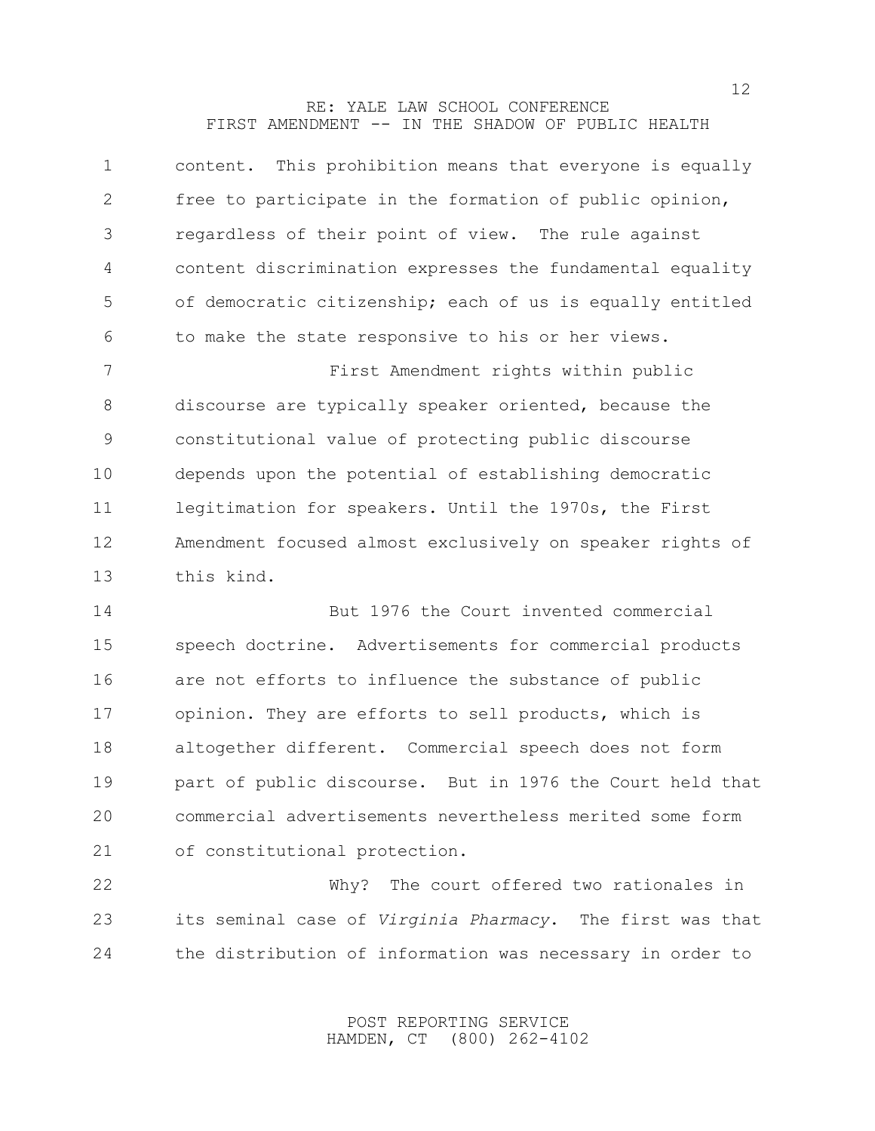| $\mathbf 1$ | content. This prohibition means that everyone is equally  |
|-------------|-----------------------------------------------------------|
| 2           | free to participate in the formation of public opinion,   |
| 3           | regardless of their point of view. The rule against       |
| 4           | content discrimination expresses the fundamental equality |
| 5           | of democratic citizenship; each of us is equally entitled |
| 6           | to make the state responsive to his or her views.         |
| 7           | First Amendment rights within public                      |
| 8           | discourse are typically speaker oriented, because the     |
| 9           | constitutional value of protecting public discourse       |
| 10          | depends upon the potential of establishing democratic     |
| 11          | legitimation for speakers. Until the 1970s, the First     |
| 12          | Amendment focused almost exclusively on speaker rights of |
| 13          | this kind.                                                |
| 14          | But 1976 the Court invented commercial                    |
| 15          | speech doctrine. Advertisements for commercial products   |
| 16          | are not efforts to influence the substance of public      |
| 17          | opinion. They are efforts to sell products, which is      |
| 18          | altogether different. Commercial speech does not form     |
| 19          | part of public discourse. But in 1976 the Court held that |
| 20          | commercial advertisements nevertheless merited some form  |
| 21          | of constitutional protection.                             |
| 22          | Why? The court offered two rationales in                  |
|             |                                                           |

the distribution of information was necessary in order to

its seminal case of *Virginia Pharmacy*. The first was that

POST REPORTING SERVICE HAMDEN, CT (800) 262-4102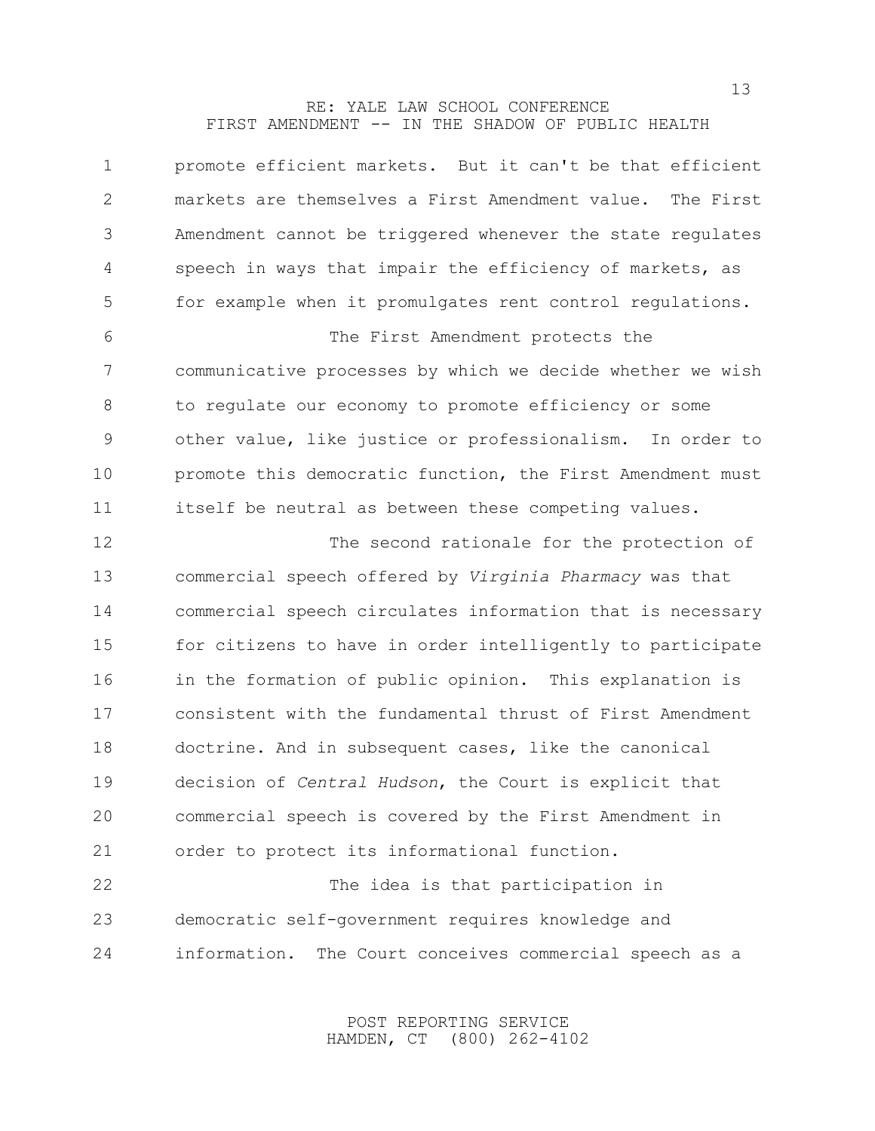| $\mathbf 1$   | promote efficient markets. But it can't be that efficient    |
|---------------|--------------------------------------------------------------|
| 2             | markets are themselves a First Amendment value.<br>The First |
| 3             | Amendment cannot be triggered whenever the state regulates   |
| 4             | speech in ways that impair the efficiency of markets, as     |
| 5             | for example when it promulgates rent control regulations.    |
| 6             | The First Amendment protects the                             |
| 7             | communicative processes by which we decide whether we wish   |
| 8             | to requlate our economy to promote efficiency or some        |
| $\mathcal{G}$ | other value, like justice or professionalism. In order to    |
| 10            | promote this democratic function, the First Amendment must   |
| 11            | itself be neutral as between these competing values.         |
| 12            | The second rationale for the protection of                   |
| 13            | commercial speech offered by Virginia Pharmacy was that      |
| 14            | commercial speech circulates information that is necessary   |
| 15            | for citizens to have in order intelligently to participate   |
| 16            | in the formation of public opinion. This explanation is      |
| 17            | consistent with the fundamental thrust of First Amendment    |
| 18            | doctrine. And in subsequent cases, like the canonical        |
| 19            | decision of Central Hudson, the Court is explicit that       |
| 20            | commercial speech is covered by the First Amendment in       |
| 21            | order to protect its informational function.                 |
| 22            | The idea is that participation in                            |
| 23            | democratic self-government requires knowledge and            |
| 24            | information.<br>The Court conceives commercial speech as a   |

POST REPORTING SERVICE HAMDEN, CT (800) 262-4102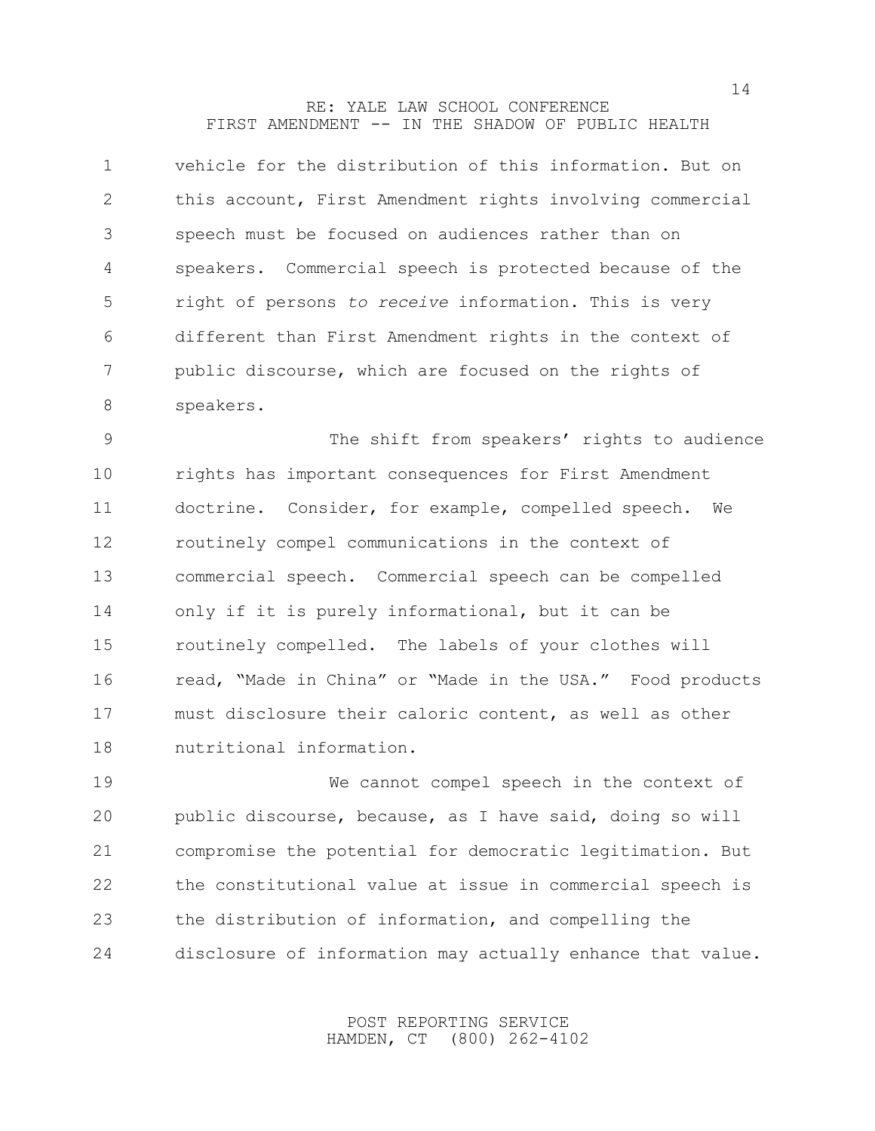| $\mathbf 1$    | vehicle for the distribution of this information. But on  |
|----------------|-----------------------------------------------------------|
| $\overline{2}$ | this account, First Amendment rights involving commercial |
| 3              | speech must be focused on audiences rather than on        |
| 4              | speakers. Commercial speech is protected because of the   |
| 5              | right of persons to receive information. This is very     |
| 6              | different than First Amendment rights in the context of   |
| 7              | public discourse, which are focused on the rights of      |
| 8              | speakers.                                                 |
| $\mathsf 9$    | The shift from speakers' rights to audience               |
| 10             | rights has important consequences for First Amendment     |
| 11             | doctrine. Consider, for example, compelled speech.<br>We  |
| 12             | routinely compel communications in the context of         |
| 13             | commercial speech. Commercial speech can be compelled     |
| 14             | only if it is purely informational, but it can be         |
| 15             | routinely compelled. The labels of your clothes will      |
| 16             | read, "Made in China" or "Made in the USA." Food products |
| 17             | must disclosure their caloric content, as well as other   |
| 18             | nutritional information.                                  |
| 19             | We cannot compel speech in the context of                 |

 public discourse, because, as I have said, doing so will compromise the potential for democratic legitimation. But the constitutional value at issue in commercial speech is the distribution of information, and compelling the disclosure of information may actually enhance that value.

> POST REPORTING SERVICE HAMDEN, CT (800) 262-4102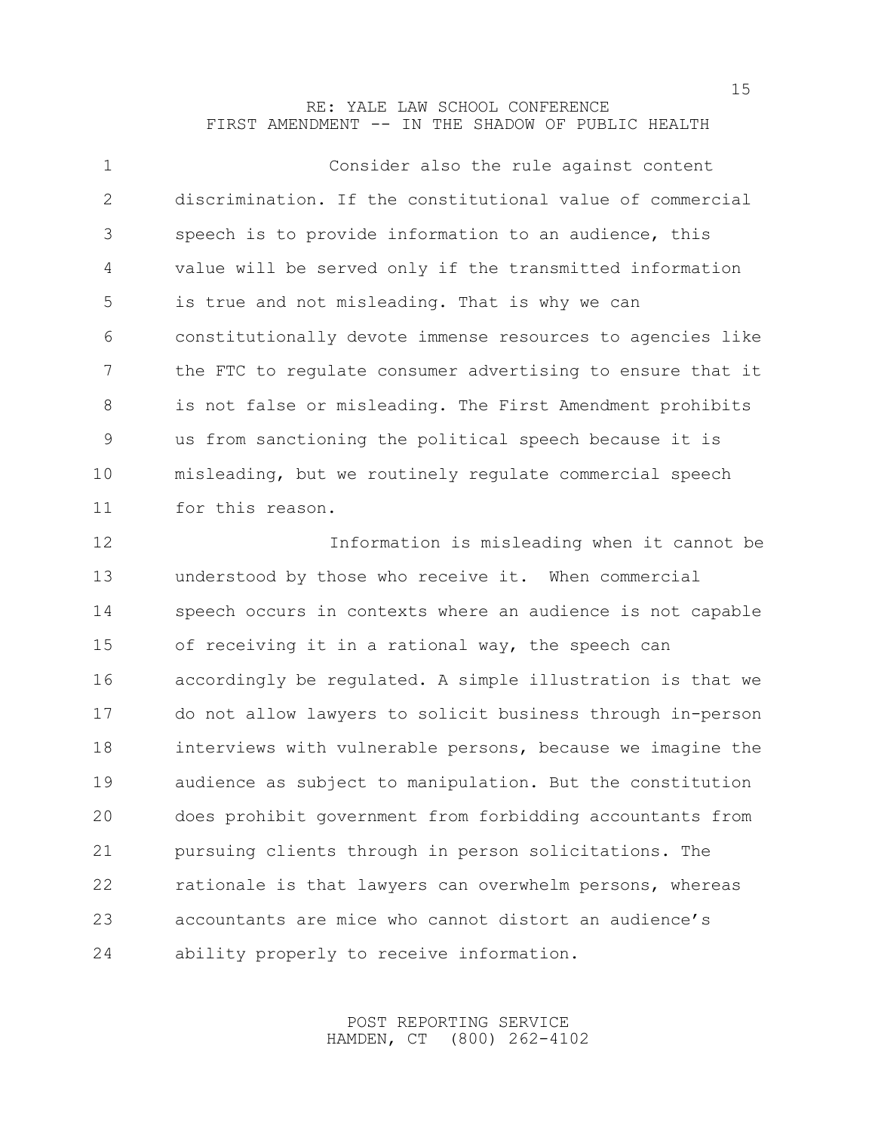| $\mathbf{1}$   | Consider also the rule against content                     |
|----------------|------------------------------------------------------------|
| 2              | discrimination. If the constitutional value of commercial  |
| 3              | speech is to provide information to an audience, this      |
| $\overline{4}$ | value will be served only if the transmitted information   |
| 5              | is true and not misleading. That is why we can             |
| 6              | constitutionally devote immense resources to agencies like |
| 7              | the FTC to requlate consumer advertising to ensure that it |
| 8              | is not false or misleading. The First Amendment prohibits  |
| 9              | us from sanctioning the political speech because it is     |
| 10             | misleading, but we routinely regulate commercial speech    |
| 11             | for this reason.                                           |
| 12             | Information is misleading when it cannot be                |
|                |                                                            |

 understood by those who receive it. When commercial speech occurs in contexts where an audience is not capable of receiving it in a rational way, the speech can accordingly be regulated. A simple illustration is that we do not allow lawyers to solicit business through in-person interviews with vulnerable persons, because we imagine the audience as subject to manipulation. But the constitution does prohibit government from forbidding accountants from pursuing clients through in person solicitations. The rationale is that lawyers can overwhelm persons, whereas accountants are mice who cannot distort an audience's ability properly to receive information.

> POST REPORTING SERVICE HAMDEN, CT (800) 262-4102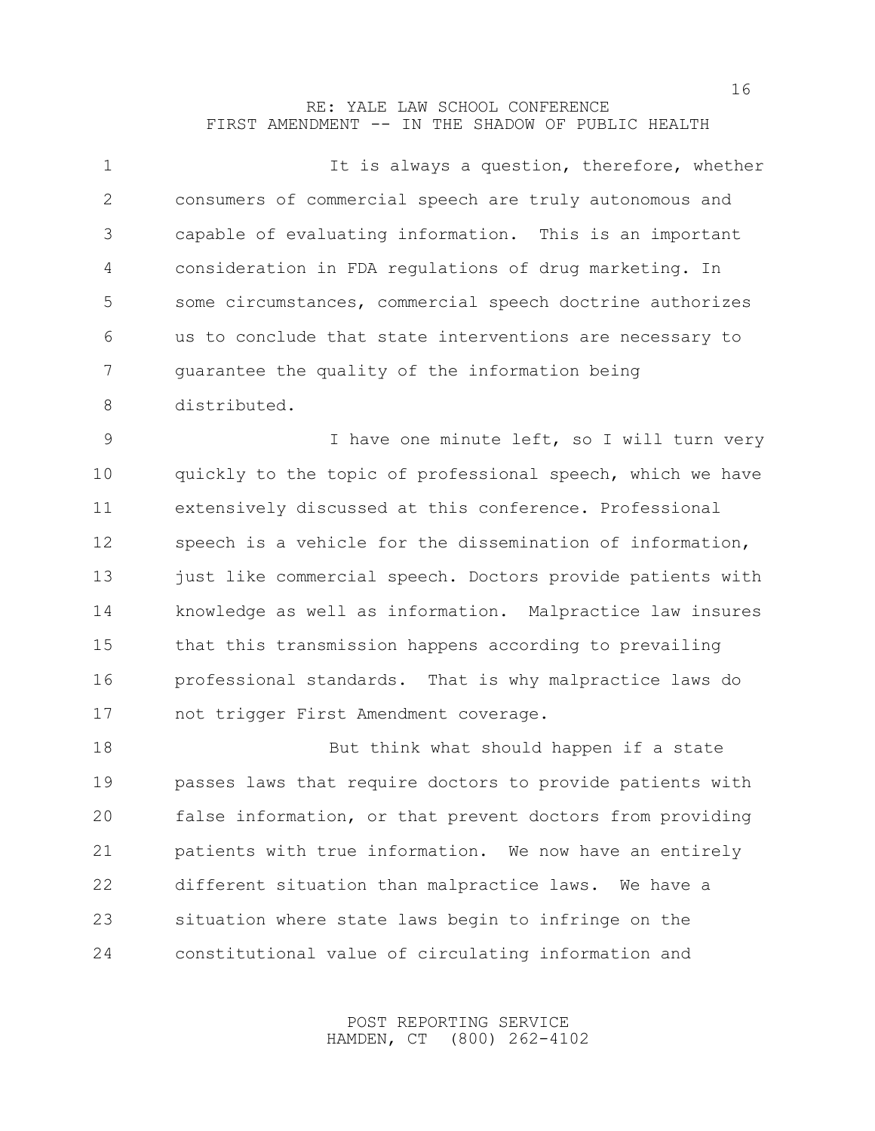| $\mathbf 1$ | It is always a question, therefore, whether                |
|-------------|------------------------------------------------------------|
| 2           | consumers of commercial speech are truly autonomous and    |
| 3           | capable of evaluating information. This is an important    |
| 4           | consideration in FDA regulations of drug marketing. In     |
| 5           | some circumstances, commercial speech doctrine authorizes  |
| 6           | us to conclude that state interventions are necessary to   |
| 7           | quarantee the quality of the information being             |
| 8           | distributed.                                               |
| 9           | I have one minute left, so I will turn very                |
| 10          | quickly to the topic of professional speech, which we have |
| 11          | extensively discussed at this conference. Professional     |
| 12          | speech is a vehicle for the dissemination of information,  |
| 13          | just like commercial speech. Doctors provide patients with |
| 14          | knowledge as well as information. Malpractice law insures  |
| 15          | that this transmission happens according to prevailing     |
| 16          | professional standards. That is why malpractice laws do    |
| 17          | not trigger First Amendment coverage.                      |
| 18          | But think what should happen if a state                    |
| 19          | passes laws that require doctors to provide patients with  |
| 20          | false information, or that prevent doctors from providing  |
| 21          | patients with true information. We now have an entirely    |
| 22          | different situation than malpractice laws. We have a       |
| 23          | situation where state laws begin to infringe on the        |

constitutional value of circulating information and

POST REPORTING SERVICE HAMDEN, CT (800) 262-4102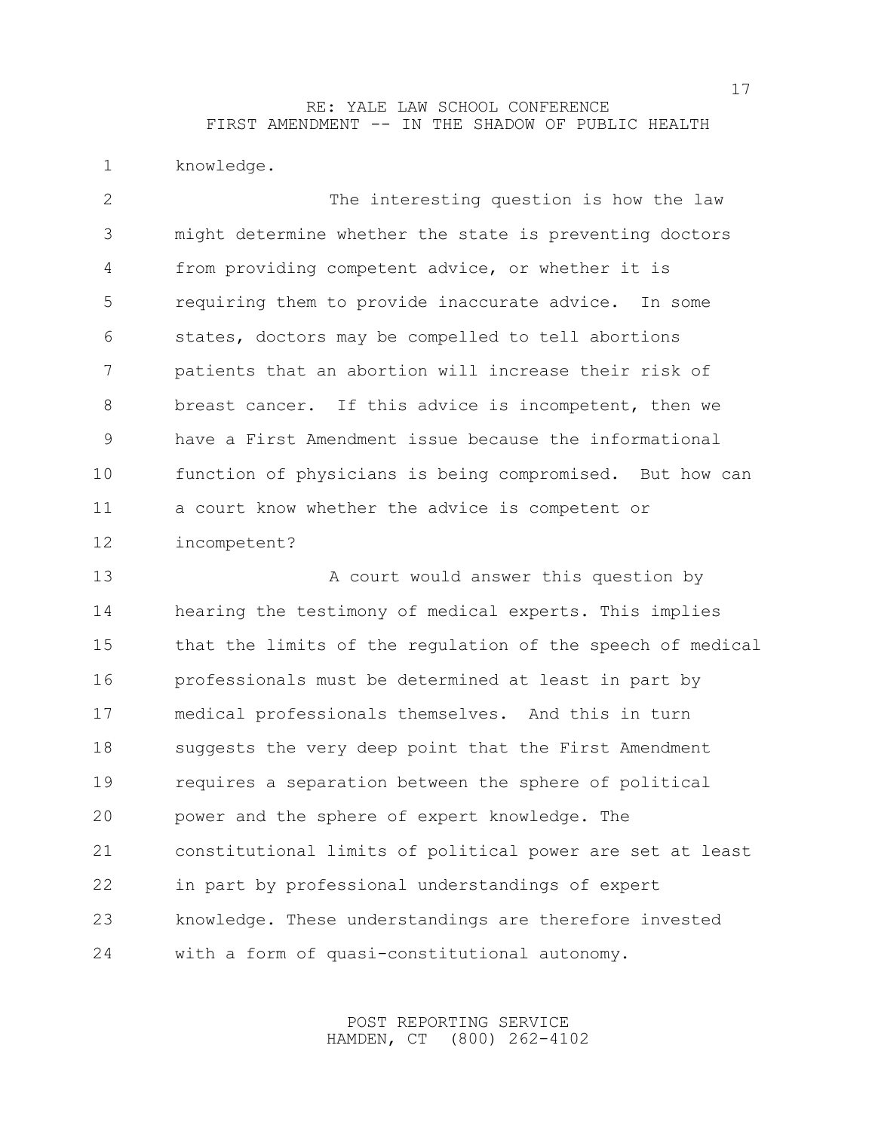knowledge.

 The interesting question is how the law might determine whether the state is preventing doctors from providing competent advice, or whether it is requiring them to provide inaccurate advice. In some states, doctors may be compelled to tell abortions patients that an abortion will increase their risk of breast cancer. If this advice is incompetent, then we have a First Amendment issue because the informational function of physicians is being compromised. But how can a court know whether the advice is competent or incompetent?

13 A court would answer this question by hearing the testimony of medical experts. This implies that the limits of the regulation of the speech of medical professionals must be determined at least in part by medical professionals themselves. And this in turn suggests the very deep point that the First Amendment requires a separation between the sphere of political power and the sphere of expert knowledge. The constitutional limits of political power are set at least in part by professional understandings of expert knowledge. These understandings are therefore invested with a form of quasi-constitutional autonomy.

> POST REPORTING SERVICE HAMDEN, CT (800) 262-4102